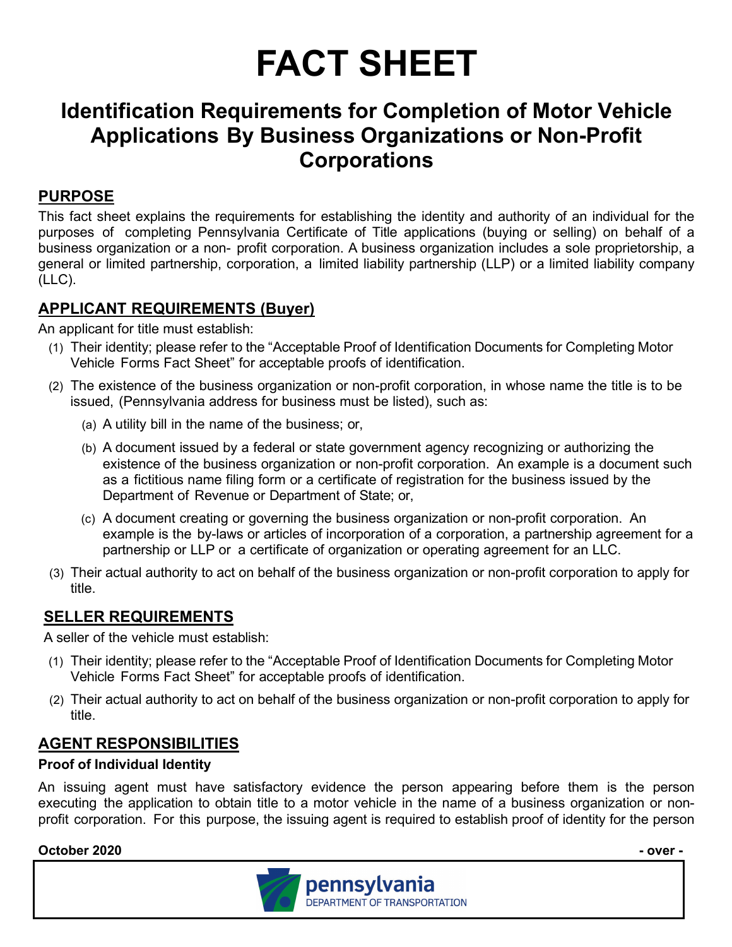# **FACT SHEET**

# **Identification Requirements for Completion of Motor Vehicle Applications By Business Organizations or Non-Profit Corporations**

# **PURPOSE**

This fact sheet explains the requirements for establishing the identity and authority of an individual for the purposes of completing Pennsylvania Certificate of Title applications (buying or selling) on behalf of a business organization or a non- profit corporation. A business organization includes a sole proprietorship, a general or limited partnership, corporation, a limited liability partnership (LLP) or a limited liability company (LLC).

# **APPLICANT REQUIREMENTS (Buyer)**

An applicant for title must establish:

- (1) Their identity; please refer to the "Acceptable Proof of Identification Documents for Completing Motor Vehicle Forms Fact Sheet" for acceptable proofs of identification.
- (2) The existence of the business organization or non-profit corporation, in whose name the title is to be issued, (Pennsylvania address for business must be listed), such as:
	- (a) A utility bill in the name of the business; or,
	- (b) A document issued by a federal or state government agency recognizing or authorizing the existence of the business organization or non-profit corporation. An example is a document such as a fictitious name filing form or a certificate of registration for the business issued by the Department of Revenue or Department of State; or,
	- (c) A document creating or governing the business organization or non-profit corporation. An example is the by-laws or articles of incorporation of a corporation, a partnership agreement for a partnership or LLP or a certificate of organization or operating agreement for an LLC.
- (3) Their actual authority to act on behalf of the business organization or non-profit corporation to apply for title.

# **SELLER REQUIREMENTS**

A seller of the vehicle must establish:

- (1) Their identity; please refer to the "Acceptable Proof of Identification Documents for Completing Motor Vehicle Forms Fact Sheet" for acceptable proofs of identification.
- (2) Their actual authority to act on behalf of the business organization or non-profit corporation to apply for title.

# **AGENT RESPONSIBILITIES**

#### **Proof of Individual Identity**

An issuing agent must have satisfactory evidence the person appearing before them is the person executing the application to obtain title to a motor vehicle in the name of a business organization or nonprofit corporation. For this purpose, the issuing agent is required to establish proof of identity for the person

#### **October 2020 - over -**